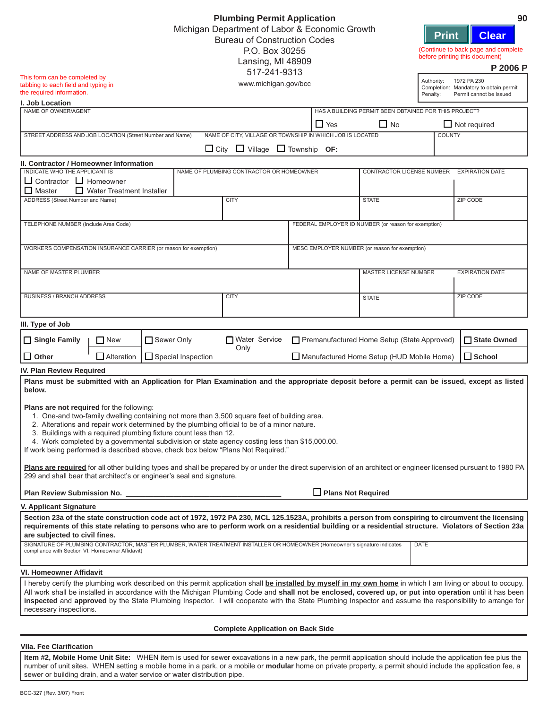| <b>Plumbing Permit Application</b><br>Michigan Department of Labor & Economic Growth<br><b>Bureau of Construction Codes</b><br>P.O. Box 30255<br>Lansing, MI 48909<br>517-241-9313<br>This form can be completed by                                                                                                                                                                                                                                                                                                                                                                                                                                                      |                                                |                                                           |                                                       |                                                                               | 90<br><b>Clear</b><br><b>Print</b><br>(Continue to back page and complete<br>before printing this document)<br>P 2006 P<br>1972 PA 230<br>Authority: |  |  |
|--------------------------------------------------------------------------------------------------------------------------------------------------------------------------------------------------------------------------------------------------------------------------------------------------------------------------------------------------------------------------------------------------------------------------------------------------------------------------------------------------------------------------------------------------------------------------------------------------------------------------------------------------------------------------|------------------------------------------------|-----------------------------------------------------------|-------------------------------------------------------|-------------------------------------------------------------------------------|------------------------------------------------------------------------------------------------------------------------------------------------------|--|--|
| tabbing to each field and typing in<br>the required information.                                                                                                                                                                                                                                                                                                                                                                                                                                                                                                                                                                                                         | www.michigan.gov/bcc                           |                                                           |                                                       | Completion: Mandatory to obtain permit<br>Permit cannot be issued<br>Penalty: |                                                                                                                                                      |  |  |
| I. Job Location                                                                                                                                                                                                                                                                                                                                                                                                                                                                                                                                                                                                                                                          |                                                |                                                           |                                                       |                                                                               |                                                                                                                                                      |  |  |
| NAME OF OWNER/AGENT                                                                                                                                                                                                                                                                                                                                                                                                                                                                                                                                                                                                                                                      |                                                |                                                           | HAS A BUILDING PERMIT BEEN OBTAINED FOR THIS PROJECT? |                                                                               |                                                                                                                                                      |  |  |
|                                                                                                                                                                                                                                                                                                                                                                                                                                                                                                                                                                                                                                                                          |                                                | $\square$ Yes                                             | $\Box$ No                                             |                                                                               | $\Box$ Not required                                                                                                                                  |  |  |
| STREET ADDRESS AND JOB LOCATION (Street Number and Name)                                                                                                                                                                                                                                                                                                                                                                                                                                                                                                                                                                                                                 | $\Box$ City $\Box$ Village $\Box$ Township OF: | NAME OF CITY, VILLAGE OR TOWNSHIP IN WHICH JOB IS LOCATED |                                                       | <b>COUNTY</b>                                                                 |                                                                                                                                                      |  |  |
| II. Contractor / Homeowner Information                                                                                                                                                                                                                                                                                                                                                                                                                                                                                                                                                                                                                                   |                                                |                                                           |                                                       |                                                                               |                                                                                                                                                      |  |  |
| <b>INDICATE WHO THE APPLICANT IS</b><br>$\Box$ Contractor $\Box$ Homeowner<br>$\Box$ Master<br>Water Treatment Installer                                                                                                                                                                                                                                                                                                                                                                                                                                                                                                                                                 | NAME OF PLUMBING CONTRACTOR OR HOMEOWNER       |                                                           | CONTRACTOR LICENSE NUMBER                             | <b>EXPIRATION DATE</b>                                                        |                                                                                                                                                      |  |  |
| ADDRESS (Street Number and Name)                                                                                                                                                                                                                                                                                                                                                                                                                                                                                                                                                                                                                                         | <b>CITY</b>                                    |                                                           |                                                       |                                                                               | ZIP CODE                                                                                                                                             |  |  |
| TELEPHONE NUMBER (Include Area Code)                                                                                                                                                                                                                                                                                                                                                                                                                                                                                                                                                                                                                                     |                                                | FEDERAL EMPLOYER ID NUMBER (or reason for exemption)      |                                                       |                                                                               |                                                                                                                                                      |  |  |
| WORKERS COMPENSATION INSURANCE CARRIER (or reason for exemption)                                                                                                                                                                                                                                                                                                                                                                                                                                                                                                                                                                                                         | MESC EMPLOYER NUMBER (or reason for exemption) |                                                           |                                                       |                                                                               |                                                                                                                                                      |  |  |
| NAME OF MASTER PLUMBER                                                                                                                                                                                                                                                                                                                                                                                                                                                                                                                                                                                                                                                   |                                                |                                                           | <b>MASTER LICENSE NUMBER</b>                          |                                                                               | <b>EXPIRATION DATE</b>                                                                                                                               |  |  |
| <b>BUSINESS / BRANCH ADDRESS</b>                                                                                                                                                                                                                                                                                                                                                                                                                                                                                                                                                                                                                                         | <b>CITY</b>                                    |                                                           | <b>STATE</b>                                          |                                                                               | ZIP CODE                                                                                                                                             |  |  |
| III. Type of Job                                                                                                                                                                                                                                                                                                                                                                                                                                                                                                                                                                                                                                                         |                                                |                                                           |                                                       |                                                                               |                                                                                                                                                      |  |  |
| $\Box$ Single Family<br>□ Sewer Only<br>$\Box$ New                                                                                                                                                                                                                                                                                                                                                                                                                                                                                                                                                                                                                       | □ Water Service<br>Only                        | Premanufactured Home Setup (State Approved)               |                                                       |                                                                               | <b>State Owned</b>                                                                                                                                   |  |  |
| $\Box$ Other<br>$\Box$ Special Inspection<br>$\Box$ Alteration                                                                                                                                                                                                                                                                                                                                                                                                                                                                                                                                                                                                           |                                                | Manufactured Home Setup (HUD Mobile Home)                 |                                                       |                                                                               | $\Box$ School                                                                                                                                        |  |  |
| IV. Plan Review Required<br>Plans must be submitted with an Application for Plan Examination and the appropriate deposit before a permit can be issued, except as listed<br>below.                                                                                                                                                                                                                                                                                                                                                                                                                                                                                       |                                                |                                                           |                                                       |                                                                               |                                                                                                                                                      |  |  |
| Plans are not required for the following:<br>1. One-and two-family dwelling containing not more than 3,500 square feet of building area.<br>2. Alterations and repair work determined by the plumbing official to be of a minor nature.<br>3. Buildings with a required plumbing fixture count less than 12.<br>4. Work completed by a governmental subdivision or state agency costing less than \$15,000.00.<br>If work being performed is described above, check box below "Plans Not Required."<br>Plans are required for all other building types and shall be prepared by or under the direct supervision of an architect or engineer licensed pursuant to 1980 PA |                                                |                                                           |                                                       |                                                                               |                                                                                                                                                      |  |  |
| 299 and shall bear that architect's or engineer's seal and signature.                                                                                                                                                                                                                                                                                                                                                                                                                                                                                                                                                                                                    |                                                |                                                           |                                                       |                                                                               |                                                                                                                                                      |  |  |
| Plan Review Submission No. _                                                                                                                                                                                                                                                                                                                                                                                                                                                                                                                                                                                                                                             |                                                | Plans Not Required                                        |                                                       |                                                                               |                                                                                                                                                      |  |  |
| V. Applicant Signature                                                                                                                                                                                                                                                                                                                                                                                                                                                                                                                                                                                                                                                   |                                                |                                                           |                                                       |                                                                               |                                                                                                                                                      |  |  |
| Section 23a of the state construction code act of 1972, 1972 PA 230, MCL 125.1523A, prohibits a person from conspiring to circumvent the licensing<br>requirements of this state relating to persons who are to perform work on a residential building or a residential structure. Violators of Section 23a<br>are subjected to civil fines.                                                                                                                                                                                                                                                                                                                             |                                                |                                                           |                                                       |                                                                               |                                                                                                                                                      |  |  |
| SIGNATURE OF PLUMBING CONTRACTOR, MASTER PLUMBER, WATER TREATMENT INSTALLER OR HOMEOWNER (Homeowner's signature indicates<br>compliance with Section VI. Homeowner Affidavit)                                                                                                                                                                                                                                                                                                                                                                                                                                                                                            |                                                |                                                           |                                                       | <b>DATE</b>                                                                   |                                                                                                                                                      |  |  |
| VI. Homeowner Affidavit                                                                                                                                                                                                                                                                                                                                                                                                                                                                                                                                                                                                                                                  |                                                |                                                           |                                                       |                                                                               |                                                                                                                                                      |  |  |
| I hereby certify the plumbing work described on this permit application shall be installed by myself in my own home in which I am living or about to occupy.<br>All work shall be installed in accordance with the Michigan Plumbing Code and shall not be enclosed, covered up, or put into operation until it has been<br>inspected and approved by the State Plumbing Inspector. I will cooperate with the State Plumbing Inspector and assume the responsibility to arrange for<br>necessary inspections.                                                                                                                                                            |                                                |                                                           |                                                       |                                                                               |                                                                                                                                                      |  |  |
|                                                                                                                                                                                                                                                                                                                                                                                                                                                                                                                                                                                                                                                                          | <b>Complete Application on Back Side</b>       |                                                           |                                                       |                                                                               |                                                                                                                                                      |  |  |

## **VIIa. Fee Clarifi cation**

**Item #2, Mobile Home Unit Site:** WHEN item is used for sewer excavations in a new park, the permit application should include the application fee plus the number of unit sites. WHEN setting a mobile home in a park, or a mobile or **modular** home on private property, a permit should include the application fee, a sewer or building drain, and a water service or water distribution pipe.